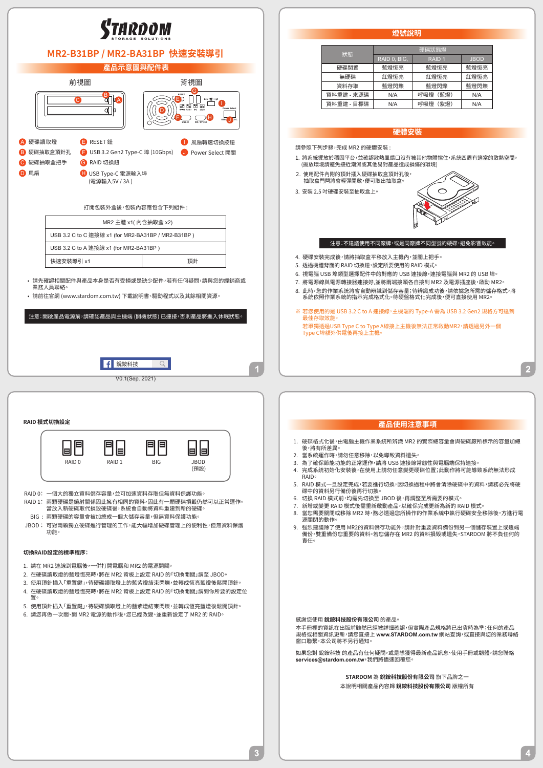

 $\overline{3}$